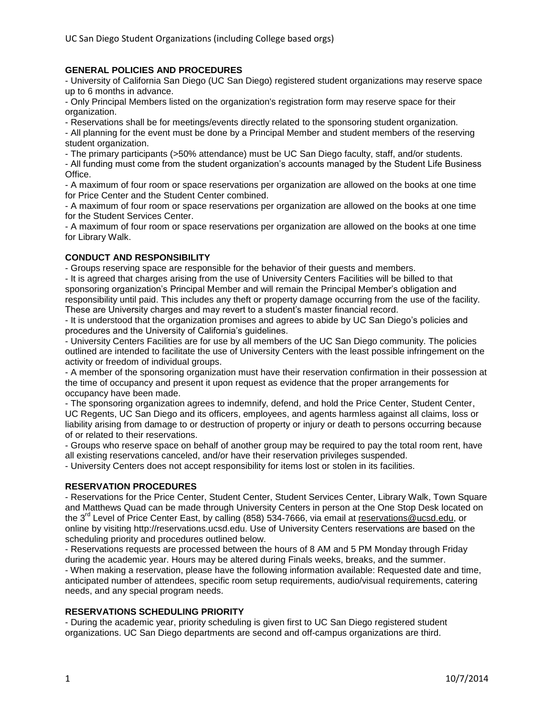# **GENERAL POLICIES AND PROCEDURES**

- University of California San Diego (UC San Diego) registered student organizations may reserve space up to 6 months in advance.

- Only Principal Members listed on the organization's registration form may reserve space for their organization.

- Reservations shall be for meetings/events directly related to the sponsoring student organization.

- All planning for the event must be done by a Principal Member and student members of the reserving student organization.

- The primary participants (>50% attendance) must be UC San Diego faculty, staff, and/or students.

- All funding must come from the student organization's accounts managed by the Student Life Business Office.

- A maximum of four room or space reservations per organization are allowed on the books at one time for Price Center and the Student Center combined.

- A maximum of four room or space reservations per organization are allowed on the books at one time for the Student Services Center.

- A maximum of four room or space reservations per organization are allowed on the books at one time for Library Walk.

#### **CONDUCT AND RESPONSIBILITY**

- Groups reserving space are responsible for the behavior of their guests and members.

- It is agreed that charges arising from the use of University Centers Facilities will be billed to that sponsoring organization's Principal Member and will remain the Principal Member's obligation and responsibility until paid. This includes any theft or property damage occurring from the use of the facility. These are University charges and may revert to a student's master financial record.

- It is understood that the organization promises and agrees to abide by UC San Diego's policies and procedures and the University of California's guidelines.

- University Centers Facilities are for use by all members of the UC San Diego community. The policies outlined are intended to facilitate the use of University Centers with the least possible infringement on the activity or freedom of individual groups.

- A member of the sponsoring organization must have their reservation confirmation in their possession at the time of occupancy and present it upon request as evidence that the proper arrangements for occupancy have been made.

- The sponsoring organization agrees to indemnify, defend, and hold the Price Center, Student Center, UC Regents, UC San Diego and its officers, employees, and agents harmless against all claims, loss or liability arising from damage to or destruction of property or injury or death to persons occurring because of or related to their reservations.

- Groups who reserve space on behalf of another group may be required to pay the total room rent, have all existing reservations canceled, and/or have their reservation privileges suspended.

- University Centers does not accept responsibility for items lost or stolen in its facilities.

#### **RESERVATION PROCEDURES**

- Reservations for the Price Center, Student Center, Student Services Center, Library Walk, Town Square and Matthews Quad can be made through University Centers in person at the One Stop Desk located on the 3<sup>rd</sup> Level of Price Center East, by calling (858) 534-7666, via email at [reservations@ucsd.edu,](mailto:reservations@ucsd.edu) or online by visiting http://reservations.ucsd.edu. Use of University Centers reservations are based on the scheduling priority and procedures outlined below.

- Reservations requests are processed between the hours of 8 AM and 5 PM Monday through Friday during the academic year. Hours may be altered during Finals weeks, breaks, and the summer. - When making a reservation, please have the following information available: Requested date and time, anticipated number of attendees, specific room setup requirements, audio/visual requirements, catering needs, and any special program needs.

#### **RESERVATIONS SCHEDULING PRIORITY**

- During the academic year, priority scheduling is given first to UC San Diego registered student organizations. UC San Diego departments are second and off-campus organizations are third.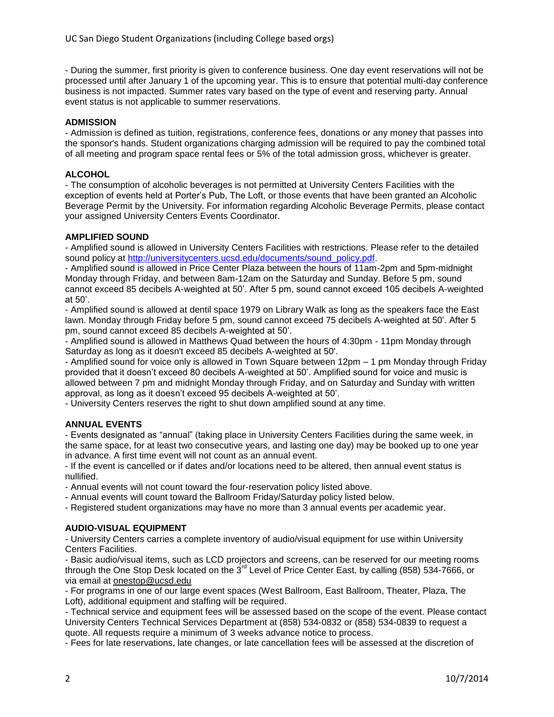- During the summer, first priority is given to conference business. One day event reservations will not be processed until after January 1 of the upcoming year. This is to ensure that potential multi-day conference business is not impacted. Summer rates vary based on the type of event and reserving party. Annual event status is not applicable to summer reservations.

## **ADMISSION**

- Admission is defined as tuition, registrations, conference fees, donations or any money that passes into the sponsor's hands. Student organizations charging admission will be required to pay the combined total of all meeting and program space rental fees or 5% of the total admission gross, whichever is greater.

### **ALCOHOL**

- The consumption of alcoholic beverages is not permitted at University Centers Facilities with the exception of events held at Porter's Pub, The Loft, or those events that have been granted an Alcoholic Beverage Permit by the University. For information regarding Alcoholic Beverage Permits, please contact your assigned University Centers Events Coordinator.

#### **AMPLIFIED SOUND**

- Amplified sound is allowed in University Centers Facilities with restrictions. Please refer to the detailed sound policy at [http://universitycenters.ucsd.edu/documents/sound\\_policy.pdf.](http://universitycenters.ucsd.edu/documents/sound_policy.pdf)

- Amplified sound is allowed in Price Center Plaza between the hours of 11am-2pm and 5pm-midnight Monday through Friday, and between 8am-12am on the Saturday and Sunday. Before 5 pm, sound cannot exceed 85 decibels A-weighted at 50'. After 5 pm, sound cannot exceed 105 decibels A-weighted at 50'.

- Amplified sound is allowed at dentil space 1979 on Library Walk as long as the speakers face the East lawn. Monday through Friday before 5 pm, sound cannot exceed 75 decibels A-weighted at 50'. After 5 pm, sound cannot exceed 85 decibels A-weighted at 50'.

- Amplified sound is allowed in Matthews Quad between the hours of 4:30pm - 11pm Monday through Saturday as long as it doesn't exceed 85 decibels A-weighted at 50'.

- Amplified sound for voice only is allowed in Town Square between 12pm – 1 pm Monday through Friday provided that it doesn't exceed 80 decibels A-weighted at 50'. Amplified sound for voice and music is allowed between 7 pm and midnight Monday through Friday, and on Saturday and Sunday with written approval, as long as it doesn't exceed 95 decibels A-weighted at 50'.

- University Centers reserves the right to shut down amplified sound at any time.

#### **ANNUAL EVENTS**

- Events designated as "annual" (taking place in University Centers Facilities during the same week, in the same space, for at least two consecutive years, and lasting one day) may be booked up to one year in advance. A first time event will not count as an annual event.

- If the event is cancelled or if dates and/or locations need to be altered, then annual event status is nullified.

- Annual events will not count toward the four-reservation policy listed above.

- Annual events will count toward the Ballroom Friday/Saturday policy listed below.

- Registered student organizations may have no more than 3 annual events per academic year.

#### **AUDIO-VISUAL EQUIPMENT**

- University Centers carries a complete inventory of audio/visual equipment for use within University Centers Facilities.

- Basic audio/visual items, such as LCD projectors and screens, can be reserved for our meeting rooms through the One Stop Desk located on the  $3<sup>rd</sup>$  Level of Price Center East, by calling (858) 534-7666, or via email at [onestop@ucsd.edu](mailto:onestop@ucsd.edu)

- For programs in one of our large event spaces (West Ballroom, East Ballroom, Theater, Plaza, The Loft), additional equipment and staffing will be required.

- Technical service and equipment fees will be assessed based on the scope of the event. Please contact University Centers Technical Services Department at (858) 534-0832 or (858) 534-0839 to request a quote. All requests require a minimum of 3 weeks advance notice to process.

- Fees for late reservations, late changes, or late cancellation fees will be assessed at the discretion of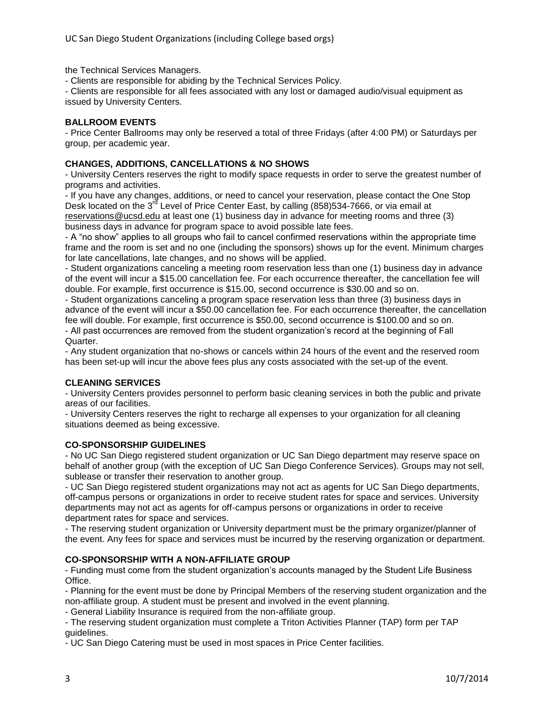the Technical Services Managers.

- Clients are responsible for abiding by the Technical Services Policy.

- Clients are responsible for all fees associated with any lost or damaged audio/visual equipment as issued by University Centers.

# **BALLROOM EVENTS**

- Price Center Ballrooms may only be reserved a total of three Fridays (after 4:00 PM) or Saturdays per group, per academic year.

# **CHANGES, ADDITIONS, CANCELLATIONS & NO SHOWS**

- University Centers reserves the right to modify space requests in order to serve the greatest number of programs and activities.

- If you have any changes, additions, or need to cancel your reservation, please contact the One Stop Desk located on the 3<sup>rd</sup> Level of Price Center East, by calling (858)534-7666, or via email at [reservations@ucsd.edu](mailto:reservations@ucsd.edu) at least one (1) business day in advance for meeting rooms and three (3) business days in advance for program space to avoid possible late fees.

- A "no show" applies to all groups who fail to cancel confirmed reservations within the appropriate time frame and the room is set and no one (including the sponsors) shows up for the event. Minimum charges for late cancellations, late changes, and no shows will be applied.

- Student organizations canceling a meeting room reservation less than one (1) business day in advance of the event will incur a \$15.00 cancellation fee. For each occurrence thereafter, the cancellation fee will double. For example, first occurrence is \$15.00, second occurrence is \$30.00 and so on.

- Student organizations canceling a program space reservation less than three (3) business days in advance of the event will incur a \$50.00 cancellation fee. For each occurrence thereafter, the cancellation fee will double. For example, first occurrence is \$50.00, second occurrence is \$100.00 and so on. - All past occurrences are removed from the student organization's record at the beginning of Fall

Quarter.

- Any student organization that no-shows or cancels within 24 hours of the event and the reserved room has been set-up will incur the above fees plus any costs associated with the set-up of the event.

# **CLEANING SERVICES**

- University Centers provides personnel to perform basic cleaning services in both the public and private areas of our facilities.

- University Centers reserves the right to recharge all expenses to your organization for all cleaning situations deemed as being excessive.

# **CO-SPONSORSHIP GUIDELINES**

- No UC San Diego registered student organization or UC San Diego department may reserve space on behalf of another group (with the exception of UC San Diego Conference Services). Groups may not sell, sublease or transfer their reservation to another group.

- UC San Diego registered student organizations may not act as agents for UC San Diego departments, off-campus persons or organizations in order to receive student rates for space and services. University departments may not act as agents for off-campus persons or organizations in order to receive department rates for space and services.

- The reserving student organization or University department must be the primary organizer/planner of the event. Any fees for space and services must be incurred by the reserving organization or department.

# **CO-SPONSORSHIP WITH A NON-AFFILIATE GROUP**

- Funding must come from the student organization's accounts managed by the Student Life Business Office.

- Planning for the event must be done by Principal Members of the reserving student organization and the non-affiliate group. A student must be present and involved in the event planning.

- General Liability Insurance is required from the non-affiliate group.

- The reserving student organization must complete a Triton Activities Planner (TAP) form per TAP guidelines.

- UC San Diego Catering must be used in most spaces in Price Center facilities.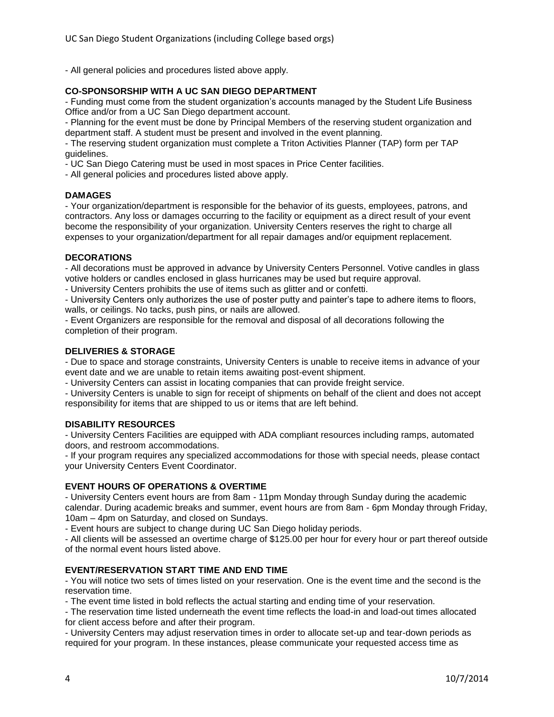- All general policies and procedures listed above apply.

## **CO-SPONSORSHIP WITH A UC SAN DIEGO DEPARTMENT**

- Funding must come from the student organization's accounts managed by the Student Life Business Office and/or from a UC San Diego department account.

- Planning for the event must be done by Principal Members of the reserving student organization and department staff. A student must be present and involved in the event planning.

- The reserving student organization must complete a Triton Activities Planner (TAP) form per TAP guidelines.

- UC San Diego Catering must be used in most spaces in Price Center facilities.

- All general policies and procedures listed above apply.

#### **DAMAGES**

- Your organization/department is responsible for the behavior of its guests, employees, patrons, and contractors. Any loss or damages occurring to the facility or equipment as a direct result of your event become the responsibility of your organization. University Centers reserves the right to charge all expenses to your organization/department for all repair damages and/or equipment replacement.

#### **DECORATIONS**

- All decorations must be approved in advance by University Centers Personnel. Votive candles in glass votive holders or candles enclosed in glass hurricanes may be used but require approval.

- University Centers prohibits the use of items such as glitter and or confetti.

- University Centers only authorizes the use of poster putty and painter's tape to adhere items to floors, walls, or ceilings. No tacks, push pins, or nails are allowed.

- Event Organizers are responsible for the removal and disposal of all decorations following the completion of their program.

#### **DELIVERIES & STORAGE**

- Due to space and storage constraints, University Centers is unable to receive items in advance of your event date and we are unable to retain items awaiting post-event shipment.

- University Centers can assist in locating companies that can provide freight service.

- University Centers is unable to sign for receipt of shipments on behalf of the client and does not accept responsibility for items that are shipped to us or items that are left behind.

### **DISABILITY RESOURCES**

- University Centers Facilities are equipped with ADA compliant resources including ramps, automated doors, and restroom accommodations.

- If your program requires any specialized accommodations for those with special needs, please contact your University Centers Event Coordinator.

#### **EVENT HOURS OF OPERATIONS & OVERTIME**

- University Centers event hours are from 8am - 11pm Monday through Sunday during the academic calendar. During academic breaks and summer, event hours are from 8am - 6pm Monday through Friday, 10am – 4pm on Saturday, and closed on Sundays.

- Event hours are subject to change during UC San Diego holiday periods.

- All clients will be assessed an overtime charge of \$125.00 per hour for every hour or part thereof outside of the normal event hours listed above.

#### **EVENT/RESERVATION START TIME AND END TIME**

- You will notice two sets of times listed on your reservation. One is the event time and the second is the reservation time.

- The event time listed in bold reflects the actual starting and ending time of your reservation.

- The reservation time listed underneath the event time reflects the load-in and load-out times allocated for client access before and after their program.

- University Centers may adjust reservation times in order to allocate set-up and tear-down periods as required for your program. In these instances, please communicate your requested access time as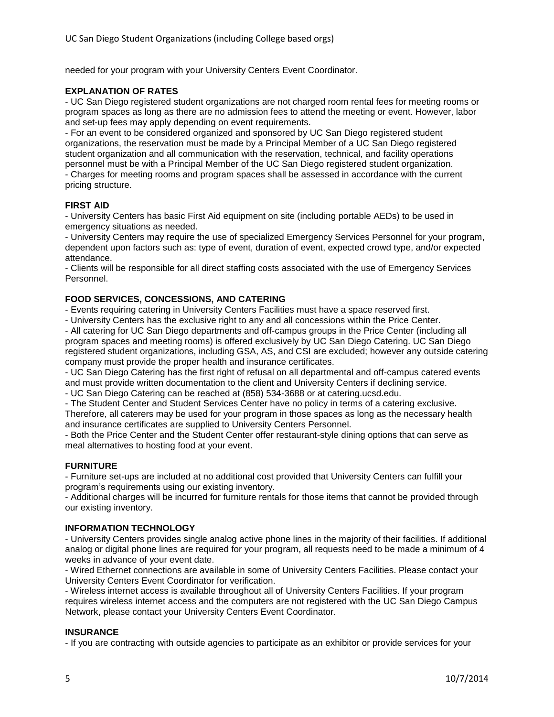needed for your program with your University Centers Event Coordinator.

## **EXPLANATION OF RATES**

- UC San Diego registered student organizations are not charged room rental fees for meeting rooms or program spaces as long as there are no admission fees to attend the meeting or event. However, labor and set-up fees may apply depending on event requirements.

- For an event to be considered organized and sponsored by UC San Diego registered student organizations, the reservation must be made by a Principal Member of a UC San Diego registered student organization and all communication with the reservation, technical, and facility operations personnel must be with a Principal Member of the UC San Diego registered student organization. - Charges for meeting rooms and program spaces shall be assessed in accordance with the current pricing structure.

## **FIRST AID**

- University Centers has basic First Aid equipment on site (including portable AEDs) to be used in emergency situations as needed.

- University Centers may require the use of specialized Emergency Services Personnel for your program, dependent upon factors such as: type of event, duration of event, expected crowd type, and/or expected attendance.

- Clients will be responsible for all direct staffing costs associated with the use of Emergency Services Personnel.

## **FOOD SERVICES, CONCESSIONS, AND CATERING**

- Events requiring catering in University Centers Facilities must have a space reserved first.

- University Centers has the exclusive right to any and all concessions within the Price Center.

- All catering for UC San Diego departments and off-campus groups in the Price Center (including all program spaces and meeting rooms) is offered exclusively by UC San Diego Catering. UC San Diego registered student organizations, including GSA, AS, and CSI are excluded; however any outside catering company must provide the proper health and insurance certificates.

- UC San Diego Catering has the first right of refusal on all departmental and off-campus catered events and must provide written documentation to the client and University Centers if declining service.

- UC San Diego Catering can be reached at (858) 534-3688 or at catering.ucsd.edu.

- The Student Center and Student Services Center have no policy in terms of a catering exclusive. Therefore, all caterers may be used for your program in those spaces as long as the necessary health and insurance certificates are supplied to University Centers Personnel.

- Both the Price Center and the Student Center offer restaurant-style dining options that can serve as meal alternatives to hosting food at your event.

#### **FURNITURE**

- Furniture set-ups are included at no additional cost provided that University Centers can fulfill your program's requirements using our existing inventory.

- Additional charges will be incurred for furniture rentals for those items that cannot be provided through our existing inventory.

#### **INFORMATION TECHNOLOGY**

- University Centers provides single analog active phone lines in the majority of their facilities. If additional analog or digital phone lines are required for your program, all requests need to be made a minimum of 4 weeks in advance of your event date.

- Wired Ethernet connections are available in some of University Centers Facilities. Please contact your University Centers Event Coordinator for verification.

- Wireless internet access is available throughout all of University Centers Facilities. If your program requires wireless internet access and the computers are not registered with the UC San Diego Campus Network, please contact your University Centers Event Coordinator.

# **INSURANCE**

- If you are contracting with outside agencies to participate as an exhibitor or provide services for your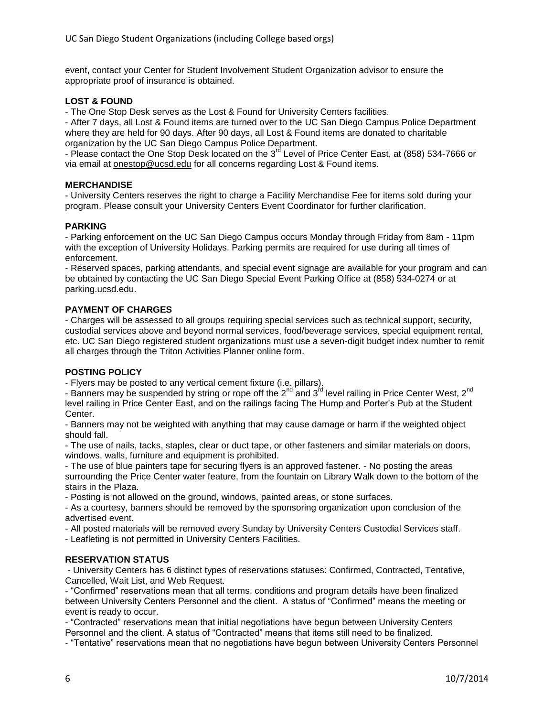event, contact your Center for Student Involvement Student Organization advisor to ensure the appropriate proof of insurance is obtained.

## **LOST & FOUND**

- The One Stop Desk serves as the Lost & Found for University Centers facilities.

- After 7 days, all Lost & Found items are turned over to the UC San Diego Campus Police Department where they are held for 90 days. After 90 days, all Lost & Found items are donated to charitable organization by the UC San Diego Campus Police Department.

- Please contact the One Stop Desk located on the 3<sup>rd</sup> Level of Price Center East, at (858) 534-7666 or via email at **onestop@ucsd.edu** for all concerns regarding Lost & Found items.

## **MERCHANDISE**

- University Centers reserves the right to charge a Facility Merchandise Fee for items sold during your program. Please consult your University Centers Event Coordinator for further clarification.

#### **PARKING**

- Parking enforcement on the UC San Diego Campus occurs Monday through Friday from 8am - 11pm with the exception of University Holidays. Parking permits are required for use during all times of enforcement.

- Reserved spaces, parking attendants, and special event signage are available for your program and can be obtained by contacting the UC San Diego Special Event Parking Office at (858) 534-0274 or at parking.ucsd.edu.

## **PAYMENT OF CHARGES**

- Charges will be assessed to all groups requiring special services such as technical support, security, custodial services above and beyond normal services, food/beverage services, special equipment rental, etc. UC San Diego registered student organizations must use a seven-digit budget index number to remit all charges through the Triton Activities Planner online form.

#### **POSTING POLICY**

- Flyers may be posted to any vertical cement fixture (i.e. pillars).

- Banners may be suspended by string or rope off the 2<sup>nd</sup> and 3<sup>rd</sup> level railing in Price Center West, 2<sup>nd</sup> level railing in Price Center East, and on the railings facing The Hump and Porter's Pub at the Student Center.

- Banners may not be weighted with anything that may cause damage or harm if the weighted object should fall.

- The use of nails, tacks, staples, clear or duct tape, or other fasteners and similar materials on doors, windows, walls, furniture and equipment is prohibited.

- The use of blue painters tape for securing flyers is an approved fastener. - No posting the areas surrounding the Price Center water feature, from the fountain on Library Walk down to the bottom of the stairs in the Plaza.

- Posting is not allowed on the ground, windows, painted areas, or stone surfaces.

- As a courtesy, banners should be removed by the sponsoring organization upon conclusion of the advertised event.

- All posted materials will be removed every Sunday by University Centers Custodial Services staff.

- Leafleting is not permitted in University Centers Facilities.

#### **RESERVATION STATUS**

- University Centers has 6 distinct types of reservations statuses: Confirmed, Contracted, Tentative, Cancelled, Wait List, and Web Request.

- "Confirmed" reservations mean that all terms, conditions and program details have been finalized between University Centers Personnel and the client. A status of "Confirmed" means the meeting or event is ready to occur.

- "Contracted" reservations mean that initial negotiations have begun between University Centers Personnel and the client. A status of "Contracted" means that items still need to be finalized.

- "Tentative" reservations mean that no negotiations have begun between University Centers Personnel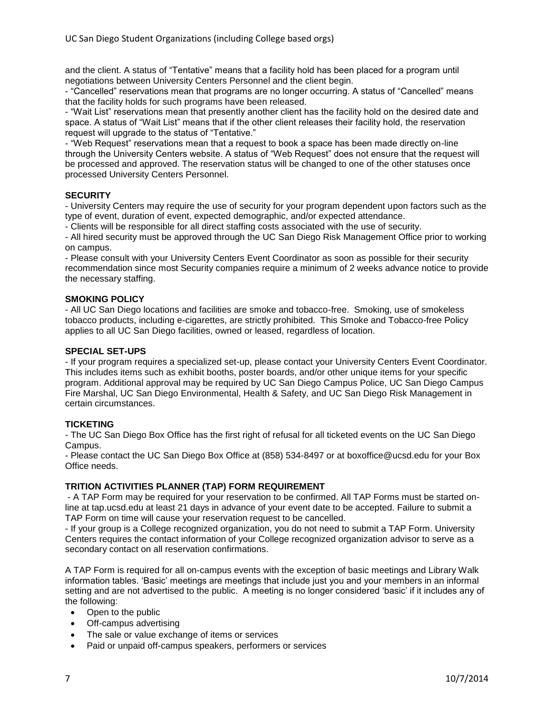and the client. A status of "Tentative" means that a facility hold has been placed for a program until negotiations between University Centers Personnel and the client begin.

- "Cancelled" reservations mean that programs are no longer occurring. A status of "Cancelled" means that the facility holds for such programs have been released.

- "Wait List" reservations mean that presently another client has the facility hold on the desired date and space. A status of "Wait List" means that if the other client releases their facility hold, the reservation request will upgrade to the status of "Tentative."

- "Web Request" reservations mean that a request to book a space has been made directly on-line through the University Centers website. A status of "Web Request" does not ensure that the request will be processed and approved. The reservation status will be changed to one of the other statuses once processed University Centers Personnel.

## **SECURITY**

- University Centers may require the use of security for your program dependent upon factors such as the type of event, duration of event, expected demographic, and/or expected attendance.

- Clients will be responsible for all direct staffing costs associated with the use of security.

- All hired security must be approved through the UC San Diego Risk Management Office prior to working on campus.

- Please consult with your University Centers Event Coordinator as soon as possible for their security recommendation since most Security companies require a minimum of 2 weeks advance notice to provide the necessary staffing.

#### **SMOKING POLICY**

- All UC San Diego locations and facilities are smoke and tobacco-free. Smoking, use of smokeless tobacco products, including e-cigarettes, are strictly prohibited. This Smoke and Tobacco-free Policy applies to all UC San Diego facilities, owned or leased, regardless of location.

## **SPECIAL SET-UPS**

- If your program requires a specialized set-up, please contact your University Centers Event Coordinator. This includes items such as exhibit booths, poster boards, and/or other unique items for your specific program. Additional approval may be required by UC San Diego Campus Police, UC San Diego Campus Fire Marshal, UC San Diego Environmental, Health & Safety, and UC San Diego Risk Management in certain circumstances.

# **TICKETING**

- The UC San Diego Box Office has the first right of refusal for all ticketed events on the UC San Diego Campus.

- Please contact the UC San Diego Box Office at (858) 534-8497 or at boxoffice@ucsd.edu for your Box Office needs.

#### **TRITION ACTIVITIES PLANNER (TAP) FORM REQUIREMENT**

- A TAP Form may be required for your reservation to be confirmed. All TAP Forms must be started online at tap.ucsd.edu at least 21 days in advance of your event date to be accepted. Failure to submit a TAP Form on time will cause your reservation request to be cancelled.

- If your group is a College recognized organization, you do not need to submit a TAP Form. University Centers requires the contact information of your College recognized organization advisor to serve as a secondary contact on all reservation confirmations.

A TAP Form is required for all on-campus events with the exception of basic meetings and Library Walk information tables. 'Basic' meetings are meetings that include just you and your members in an informal setting and are not advertised to the public. A meeting is no longer considered 'basic' if it includes any of the following:

- Open to the public
- Off-campus advertising
- The sale or value exchange of items or services
- Paid or unpaid off-campus speakers, performers or services